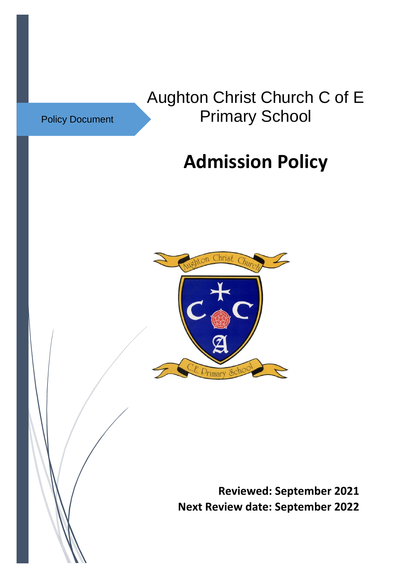# Aughton Christ Church C of E Primary School

Policy Document

# **Admission Policy**



**Reviewed: September 2021 Next Review date: September 2022**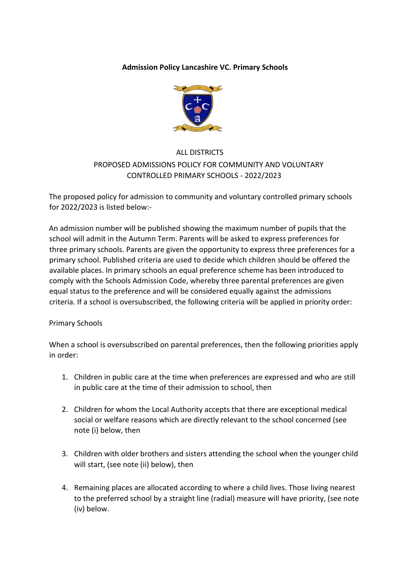### **Admission Policy Lancashire VC. Primary Schools**



# ALL DISTRICTS PROPOSED ADMISSIONS POLICY FOR COMMUNITY AND VOLUNTARY CONTROLLED PRIMARY SCHOOLS - 2022/2023

The proposed policy for admission to community and voluntary controlled primary schools for 2022/2023 is listed below:-

An admission number will be published showing the maximum number of pupils that the school will admit in the Autumn Term. Parents will be asked to express preferences for three primary schools. Parents are given the opportunity to express three preferences for a primary school. Published criteria are used to decide which children should be offered the available places. In primary schools an equal preference scheme has been introduced to comply with the Schools Admission Code, whereby three parental preferences are given equal status to the preference and will be considered equally against the admissions criteria. If a school is oversubscribed, the following criteria will be applied in priority order:

## Primary Schools

When a school is oversubscribed on parental preferences, then the following priorities apply in order:

- 1. Children in public care at the time when preferences are expressed and who are still in public care at the time of their admission to school, then
- 2. Children for whom the Local Authority accepts that there are exceptional medical social or welfare reasons which are directly relevant to the school concerned (see note (i) below, then
- 3. Children with older brothers and sisters attending the school when the younger child will start, (see note (ii) below), then
- 4. Remaining places are allocated according to where a child lives. Those living nearest to the preferred school by a straight line (radial) measure will have priority, (see note (iv) below.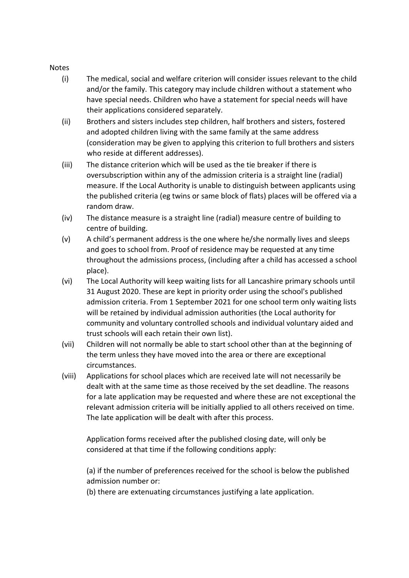#### Notes

- (i) The medical, social and welfare criterion will consider issues relevant to the child and/or the family. This category may include children without a statement who have special needs. Children who have a statement for special needs will have their applications considered separately.
- (ii) Brothers and sisters includes step children, half brothers and sisters, fostered and adopted children living with the same family at the same address (consideration may be given to applying this criterion to full brothers and sisters who reside at different addresses).
- (iii) The distance criterion which will be used as the tie breaker if there is oversubscription within any of the admission criteria is a straight line (radial) measure. If the Local Authority is unable to distinguish between applicants using the published criteria (eg twins or same block of flats) places will be offered via a random draw.
- (iv) The distance measure is a straight line (radial) measure centre of building to centre of building.
- (v) A child's permanent address is the one where he/she normally lives and sleeps and goes to school from. Proof of residence may be requested at any time throughout the admissions process, (including after a child has accessed a school place).
- (vi) The Local Authority will keep waiting lists for all Lancashire primary schools until 31 August 2020. These are kept in priority order using the school's published admission criteria. From 1 September 2021 for one school term only waiting lists will be retained by individual admission authorities (the Local authority for community and voluntary controlled schools and individual voluntary aided and trust schools will each retain their own list).
- (vii) Children will not normally be able to start school other than at the beginning of the term unless they have moved into the area or there are exceptional circumstances.
- (viii) Applications for school places which are received late will not necessarily be dealt with at the same time as those received by the set deadline. The reasons for a late application may be requested and where these are not exceptional the relevant admission criteria will be initially applied to all others received on time. The late application will be dealt with after this process.

Application forms received after the published closing date, will only be considered at that time if the following conditions apply:

(a) if the number of preferences received for the school is below the published admission number or:

(b) there are extenuating circumstances justifying a late application.